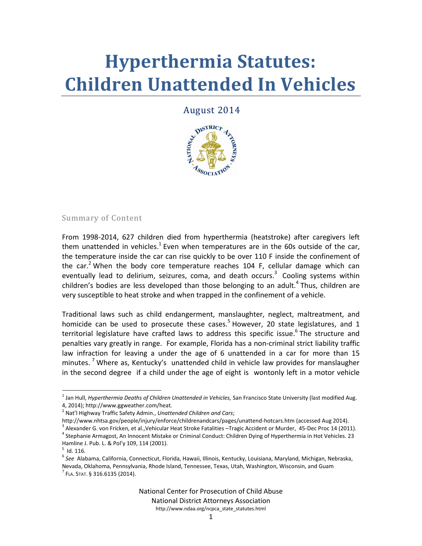# **Hyperthermia Statutes: Children Unattended In Vehicles**

#### August 2014



#### Summary of Content

From 1998-2014, 627 children died from hyperthermia (heatstroke) after caregivers left them unattended in vehicles.<sup>1</sup> Even when temperatures are in the 60s outside of the car, the temperature inside the car can rise quickly to be over 110 F inside the confinement of the car.<sup>2</sup> When the body core temperature reaches 104 F, cellular damage which can eventually lead to delirium, seizures, coma, and death occurs.<sup>3</sup> Cooling systems within children's bodies are less developed than those belonging to an adult.<sup>4</sup> Thus, children are very susceptible to heat stroke and when trapped in the confinement of a vehicle.

Traditional laws such as child endangerment, manslaughter, neglect, maltreatment, and homicide can be used to prosecute these cases.<sup>5</sup> However, 20 state legislatures, and 1 territorial legislature have crafted laws to address this specific issue.<sup>6</sup> The structure and penalties vary greatly in range. For example, Florida has a non-criminal strict liability traffic law infraction for leaving a under the age of 6 unattended in a car for more than 15 minutes.<sup>7</sup> Where as, Kentucky's unattended child in vehicle law provides for manslaugher in the second degree if a child under the age of eight is wontonly left in a motor vehicle

 $\overline{\phantom{a}}$ 

<sup>&</sup>lt;sup>1</sup> Jan Hull, *Hyperthermia Deaths of Children Unattended in Vehicles, S*an Francisco State University (last modified Aug. 4, 2014); http://www.ggweather.com/heat*.*

<sup>2</sup> Nat'l Highway Traffic Safety Admin., *Unattended Children and Cars*;

http://www.nhtsa.gov/people/injury/enforce/childrenandcars/pages/unattend-hotcars.htm (accessed Aug 2014).  $^3$  Alexander G. von Fricken, et al.,Vehicular Heat Stroke Fatalities –Tragic Accident or Murder, 45-Dec Proc 14 (2011).

<sup>4</sup> Stephanie Armagost, An Innocent Mistake or Criminal Conduct: Children Dying of Hyperthermia in Hot Vehicles. 23 Hamline J. Pub. L. & Pol'y 109, 114 (2001).

<sup>5</sup> Id. 116.

<sup>&</sup>lt;sup>6</sup> See Alabama, California, Connecticut, Florida, Hawaii, Illinois, Kentucky, Louisiana, Maryland, Michigan, Nebraska, Nevada, Oklahoma, Pennsylvania, Rhode Island, Tennessee, Texas, Utah, Washington, Wisconsin, and Guam  $^{7}$  Fla. Stat. § 316.6135 (2014).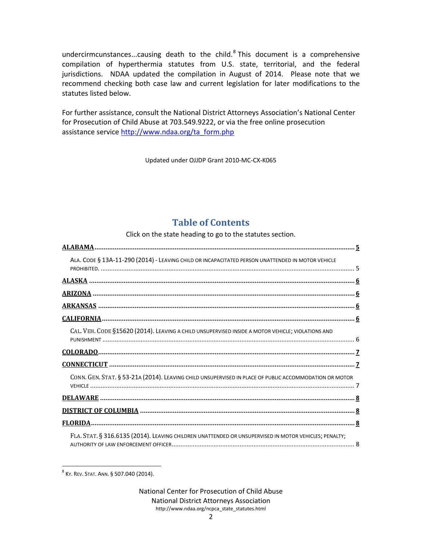undercirmcunstances...causing death to the child. ${}^{8}$  This document is a comprehensive compilation of hyperthermia statutes from U.S. state, territorial, and the federal jurisdictions. NDAA updated the compilation in August of 2014. Please note that we recommend checking both case law and current legislation for later modifications to the statutes listed below.

For further assistance, consult the National District Attorneys Association's National Center for Prosecution of Child Abuse at 703.549.9222, or via the free online prosecution assistance service [http://www.ndaa.org/ta\\_form.php](http://www.ndaa.org/ta_form.php)

Updated under OJJDP Grant 2010-MC-CX-K065

#### **Table of Contents**

Click on the state heading to go to the statutes section.

| ALA. CODE § 13A-11-290 (2014) - LEAVING CHILD OR INCAPACITATED PERSON UNATTENDED IN MOTOR VEHICLE      |
|--------------------------------------------------------------------------------------------------------|
|                                                                                                        |
|                                                                                                        |
|                                                                                                        |
|                                                                                                        |
| CAL. VEH. CODE §15620 (2014). LEAVING A CHILD UNSUPERVISED INSIDE A MOTOR VEHICLE; VIOLATIONS AND      |
|                                                                                                        |
|                                                                                                        |
| CONN. GEN. STAT. § 53-21A (2014). LEAVING CHILD UNSUPERVISED IN PLACE OF PUBLIC ACCOMMODATION OR MOTOR |
|                                                                                                        |
|                                                                                                        |
|                                                                                                        |
| FLA. STAT. § 316.6135 (2014). LEAVING CHILDREN UNATTENDED OR UNSUPERVISED IN MOTOR VEHICLES; PENALTY;  |

 $\overline{\phantom{a}}$  $^8$  Ky. Rev. Sтат. Ann. § 507.040 (2014).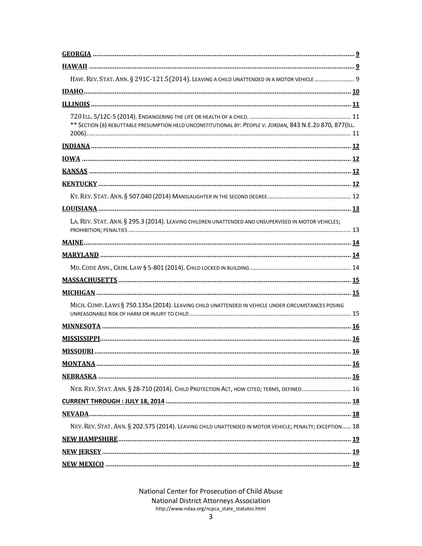| HAW. REV. STAT. ANN. § 291C-121.5(2014). LEAVING A CHILD UNATTENDED IN A MOTOR VEHICLE  9                   |
|-------------------------------------------------------------------------------------------------------------|
|                                                                                                             |
|                                                                                                             |
| ** SECTION (B) REBUTTABLE PRESUMPTION HELD UNCONSTITUTIONAL BY: PEOPLE V. JORDAN, 843 N.E.2D 870, 877 (ILL. |
|                                                                                                             |
|                                                                                                             |
|                                                                                                             |
|                                                                                                             |
|                                                                                                             |
|                                                                                                             |
| LA. REV. STAT. ANN. § 295.3 (2014). LEAVING CHILDREN UNATTENDED AND UNSUPERVISED IN MOTOR VEHICLES;         |
|                                                                                                             |
|                                                                                                             |
|                                                                                                             |
|                                                                                                             |
|                                                                                                             |
| MICH. COMP. LAWS § 750.135A (2014). LEAVING CHILD UNATTENDED IN VEHICLE UNDER CIRCUMSTANCES POSING          |
|                                                                                                             |
|                                                                                                             |
|                                                                                                             |
|                                                                                                             |
|                                                                                                             |
| NEB. REV. STAT. ANN. § 28-710 (2014). CHILD PROTECTION ACT, HOW CITED; TERMS, DEFINED 16                    |
|                                                                                                             |
|                                                                                                             |
| NEV. REV. STAT. ANN. § 202.575 (2014). LEAVING CHILD UNATTENDED IN MOTOR VEHICLE; PENALTY; EXCEPTION 18     |
|                                                                                                             |
|                                                                                                             |
|                                                                                                             |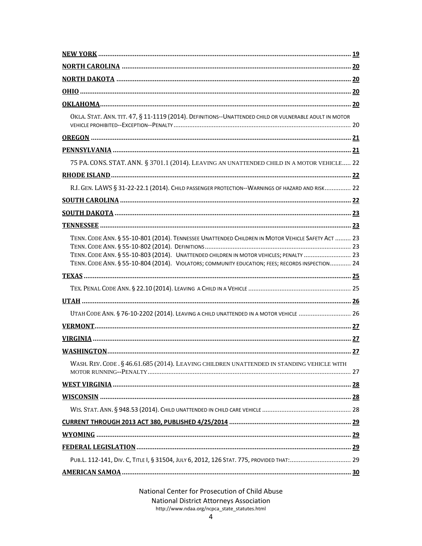| OKLA. STAT. ANN. TIT. 47, § 11-1119 (2014). DEFINITIONS--UNATTENDED CHILD OR VULNERABLE ADULT IN MOTOR                                                                                                                                                                                         |  |
|------------------------------------------------------------------------------------------------------------------------------------------------------------------------------------------------------------------------------------------------------------------------------------------------|--|
|                                                                                                                                                                                                                                                                                                |  |
|                                                                                                                                                                                                                                                                                                |  |
| 75 PA. CONS. STAT. ANN. § 3701.1 (2014). LEAVING AN UNATTENDED CHILD IN A MOTOR VEHICLE 22                                                                                                                                                                                                     |  |
|                                                                                                                                                                                                                                                                                                |  |
| R.I. GEN. LAWS § 31-22-22.1 (2014). CHILD PASSENGER PROTECTION--WARNINGS OF HAZARD AND RISK 22                                                                                                                                                                                                 |  |
|                                                                                                                                                                                                                                                                                                |  |
|                                                                                                                                                                                                                                                                                                |  |
|                                                                                                                                                                                                                                                                                                |  |
| TENN. CODE ANN. § 55-10-801 (2014). TENNESSEE UNATTENDED CHILDREN IN MOTOR VEHICLE SAFETY ACT  23<br>TENN. CODE ANN. § 55-10-803 (2014). UNATTENDED CHILDREN IN MOTOR VEHICLES; PENALTY  23<br>TENN. CODE ANN. § 55-10-804 (2014). VIOLATORS; COMMUNITY EDUCATION; FEES; RECORDS INSPECTION 24 |  |
|                                                                                                                                                                                                                                                                                                |  |
|                                                                                                                                                                                                                                                                                                |  |
|                                                                                                                                                                                                                                                                                                |  |
| UTAH CODE ANN. § 76-10-2202 (2014). LEAVING A CHILD UNATTENDED IN A MOTOR VEHICLE  26                                                                                                                                                                                                          |  |
|                                                                                                                                                                                                                                                                                                |  |
|                                                                                                                                                                                                                                                                                                |  |
|                                                                                                                                                                                                                                                                                                |  |
| WASH. REV. CODE. § 46.61.685 (2014). LEAVING CHILDREN UNATTENDED IN STANDING VEHICLE WITH                                                                                                                                                                                                      |  |
|                                                                                                                                                                                                                                                                                                |  |
|                                                                                                                                                                                                                                                                                                |  |
|                                                                                                                                                                                                                                                                                                |  |
|                                                                                                                                                                                                                                                                                                |  |
|                                                                                                                                                                                                                                                                                                |  |
|                                                                                                                                                                                                                                                                                                |  |
| PUB.L. 112-141, DIV. C, TITLE I, § 31504, JULY 6, 2012, 126 STAT. 775, PROVIDED THAT: 29                                                                                                                                                                                                       |  |
|                                                                                                                                                                                                                                                                                                |  |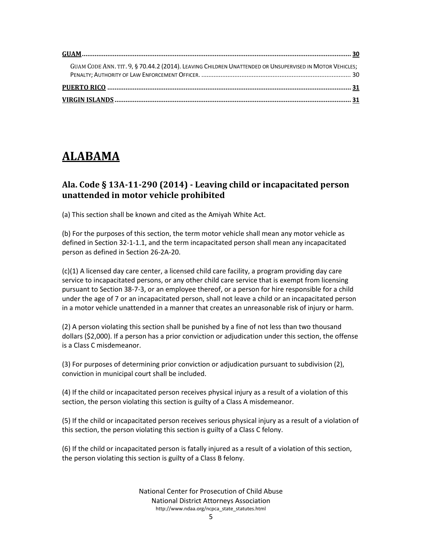| GUAM CODE ANN. TIT. 9, § 70.44.2 (2014). LEAVING CHILDREN UNATTENDED OR UNSUPERVISED IN MOTOR VEHICLES; |  |
|---------------------------------------------------------------------------------------------------------|--|
|                                                                                                         |  |
|                                                                                                         |  |

## <span id="page-4-0"></span>**ALABAMA**

#### <span id="page-4-1"></span>**Ala. Code § 13A-11-290 (2014) - Leaving child or incapacitated person unattended in motor vehicle prohibited**

(a) This section shall be known and cited as the Amiyah White Act.

(b) For the purposes of this section, the term motor vehicle shall mean any motor vehicle as defined in Section 32-1-1.1, and the term incapacitated person shall mean any incapacitated person as defined in Section 26-2A-20.

(c)(1) A licensed day care center, a licensed child care facility, a program providing day care service to incapacitated persons, or any other child care service that is exempt from licensing pursuant to Section 38-7-3, or an employee thereof, or a person for hire responsible for a child under the age of 7 or an incapacitated person, shall not leave a child or an incapacitated person in a motor vehicle unattended in a manner that creates an unreasonable risk of injury or harm.

(2) A person violating this section shall be punished by a fine of not less than two thousand dollars (\$2,000). If a person has a prior conviction or adjudication under this section, the offense is a Class C misdemeanor.

(3) For purposes of determining prior conviction or adjudication pursuant to subdivision (2), conviction in municipal court shall be included.

(4) If the child or incapacitated person receives physical injury as a result of a violation of this section, the person violating this section is guilty of a Class A misdemeanor.

(5) If the child or incapacitated person receives serious physical injury as a result of a violation of this section, the person violating this section is guilty of a Class C felony.

(6) If the child or incapacitated person is fatally injured as a result of a violation of this section, the person violating this section is guilty of a Class B felony.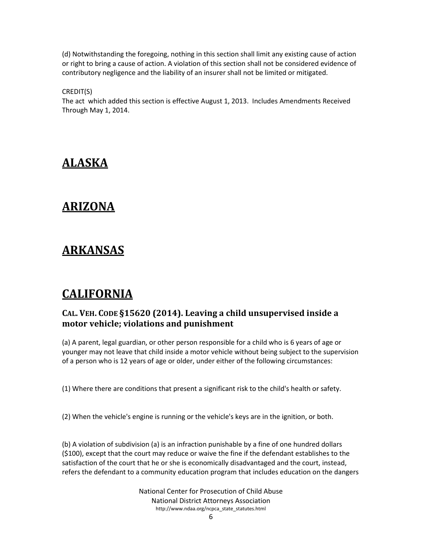(d) Notwithstanding the foregoing, nothing in this section shall limit any existing cause of action or right to bring a cause of action. A violation of this section shall not be considered evidence of contributory negligence and the liability of an insurer shall not be limited or mitigated.

CREDIT(S)

The act which added this section is effective August 1, 2013. Includes Amendments Received Through May 1, 2014.

## <span id="page-5-0"></span>**ALASKA**

### <span id="page-5-1"></span>**ARIZONA**

## <span id="page-5-2"></span>**ARKANSAS**

## <span id="page-5-3"></span>**CALIFORNIA**

#### <span id="page-5-4"></span>**CAL. VEH. CODE §15620 (2014). Leaving a child unsupervised inside a motor vehicle; violations and punishment**

(a) A parent, legal guardian, or other person responsible for a child who is 6 years of age or younger may not leave that child inside a motor vehicle without being subject to the supervision of a person who is 12 years of age or older, under either of the following circumstances:

(1) Where there are conditions that present a significant risk to the child's health or safety.

(2) When the vehicle's engine is running or the vehicle's keys are in the ignition, or both.

(b) A violation of subdivision (a) is an infraction punishable by a fine of one hundred dollars (\$100), except that the court may reduce or waive the fine if the defendant establishes to the satisfaction of the court that he or she is economically disadvantaged and the court, instead, refers the defendant to a community education program that includes education on the dangers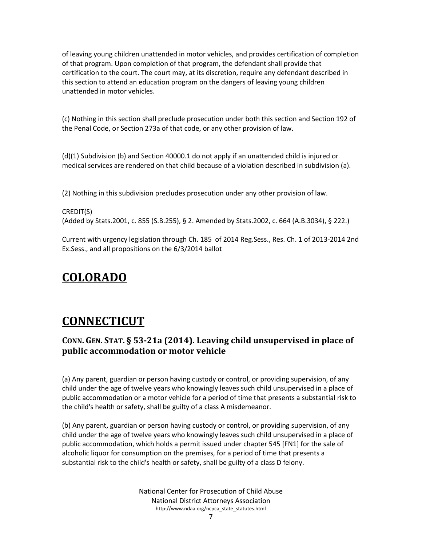of leaving young children unattended in motor vehicles, and provides certification of completion of that program. Upon completion of that program, the defendant shall provide that certification to the court. The court may, at its discretion, require any defendant described in this section to attend an education program on the dangers of leaving young children unattended in motor vehicles.

(c) Nothing in this section shall preclude prosecution under both this section and Section 192 of the Penal Code, or Section 273a of that code, or any other provision of law.

(d)(1) Subdivision (b) and Section 40000.1 do not apply if an unattended child is injured or medical services are rendered on that child because of a violation described in subdivision (a).

(2) Nothing in this subdivision precludes prosecution under any other provision of law.

CREDIT(S) (Added by Stats.2001, c. 855 (S.B.255), § 2. Amended by Stats.2002, c. 664 (A.B.3034), § 222.)

Current with urgency legislation through Ch. 185 of 2014 Reg.Sess., Res. Ch. 1 of 2013-2014 2nd Ex.Sess., and all propositions on the 6/3/2014 ballot

## <span id="page-6-0"></span>**COLORADO**

## <span id="page-6-1"></span>**CONNECTICUT**

#### <span id="page-6-2"></span>**CONN. GEN. STAT. § 53-21a (2014). Leaving child unsupervised in place of public accommodation or motor vehicle**

(a) Any parent, guardian or person having custody or control, or providing supervision, of any child under the age of twelve years who knowingly leaves such child unsupervised in a place of public accommodation or a motor vehicle for a period of time that presents a substantial risk to the child's health or safety, shall be guilty of a class A misdemeanor.

(b) Any parent, guardian or person having custody or control, or providing supervision, of any child under the age of twelve years who knowingly leaves such child unsupervised in a place of public accommodation, which holds a permit issued under chapter 545 [FN1] for the sale of alcoholic liquor for consumption on the premises, for a period of time that presents a substantial risk to the child's health or safety, shall be guilty of a class D felony.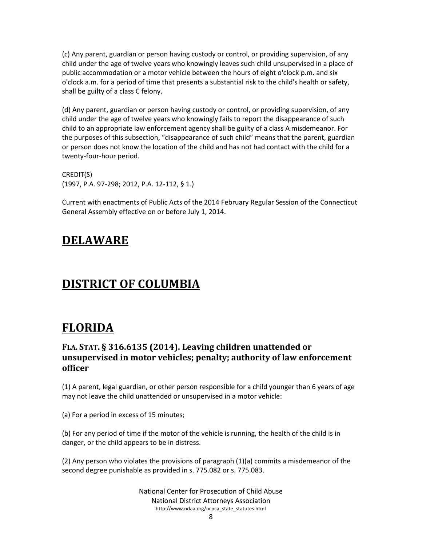(c) Any parent, guardian or person having custody or control, or providing supervision, of any child under the age of twelve years who knowingly leaves such child unsupervised in a place of public accommodation or a motor vehicle between the hours of eight o'clock p.m. and six o'clock a.m. for a period of time that presents a substantial risk to the child's health or safety, shall be guilty of a class C felony.

(d) Any parent, guardian or person having custody or control, or providing supervision, of any child under the age of twelve years who knowingly fails to report the disappearance of such child to an appropriate law enforcement agency shall be guilty of a class A misdemeanor. For the purposes of this subsection, "disappearance of such child" means that the parent, guardian or person does not know the location of the child and has not had contact with the child for a twenty-four-hour period.

CREDIT(S) (1997, P.A. 97-298; 2012, P.A. 12-112, § 1.)

Current with enactments of Public Acts of the 2014 February Regular Session of the Connecticut General Assembly effective on or before July 1, 2014.

## <span id="page-7-0"></span>**DELAWARE**

## <span id="page-7-1"></span>**DISTRICT OF COLUMBIA**

## <span id="page-7-2"></span>**FLORIDA**

#### <span id="page-7-3"></span>**FLA. STAT. § 316.6135 (2014). Leaving children unattended or unsupervised in motor vehicles; penalty; authority of law enforcement officer**

(1) A parent, legal guardian, or other person responsible for a child younger than 6 years of age may not leave the child unattended or unsupervised in a motor vehicle:

(a) For a period in excess of 15 minutes;

(b) For any period of time if the motor of the vehicle is running, the health of the child is in danger, or the child appears to be in distress.

(2) Any person who violates the provisions of paragraph (1)(a) commits a misdemeanor of the second degree punishable as provided in s. 775.082 or s. 775.083.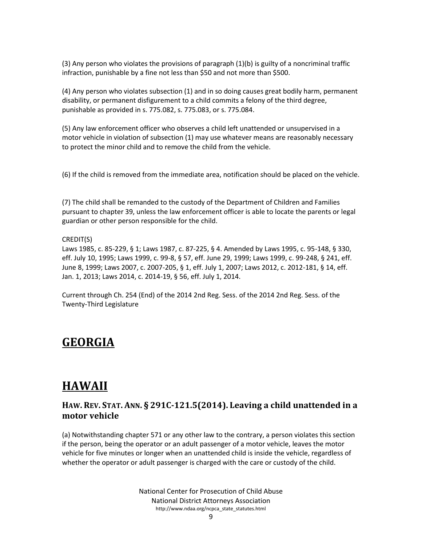(3) Any person who violates the provisions of paragraph (1)(b) is guilty of a noncriminal traffic infraction, punishable by a fine not less than \$50 and not more than \$500.

(4) Any person who violates subsection (1) and in so doing causes great bodily harm, permanent disability, or permanent disfigurement to a child commits a felony of the third degree, punishable as provided in s. 775.082, s. 775.083, or s. 775.084.

(5) Any law enforcement officer who observes a child left unattended or unsupervised in a motor vehicle in violation of subsection (1) may use whatever means are reasonably necessary to protect the minor child and to remove the child from the vehicle.

(6) If the child is removed from the immediate area, notification should be placed on the vehicle.

(7) The child shall be remanded to the custody of the Department of Children and Families pursuant to chapter 39, unless the law enforcement officer is able to locate the parents or legal guardian or other person responsible for the child.

#### CREDIT(S)

Laws 1985, c. 85-229, § 1; Laws 1987, c. 87-225, § 4. Amended by Laws 1995, c. 95-148, § 330, eff. July 10, 1995; Laws 1999, c. 99-8, § 57, eff. June 29, 1999; Laws 1999, c. 99-248, § 241, eff. June 8, 1999; Laws 2007, c. 2007-205, § 1, eff. July 1, 2007; Laws 2012, c. 2012-181, § 14, eff. Jan. 1, 2013; Laws 2014, c. 2014-19, § 56, eff. July 1, 2014.

Current through Ch. 254 (End) of the 2014 2nd Reg. Sess. of the 2014 2nd Reg. Sess. of the Twenty-Third Legislature

### <span id="page-8-0"></span>**GEORGIA**

### <span id="page-8-1"></span>**HAWAII**

#### <span id="page-8-2"></span>**HAW. REV. STAT. ANN. § 291C-121.5(2014). Leaving a child unattended in a motor vehicle**

(a) Notwithstanding chapter 571 or any other law to the contrary, a person violates this section if the person, being the operator or an adult passenger of a motor vehicle, leaves the motor vehicle for five minutes or longer when an unattended child is inside the vehicle, regardless of whether the operator or adult passenger is charged with the care or custody of the child.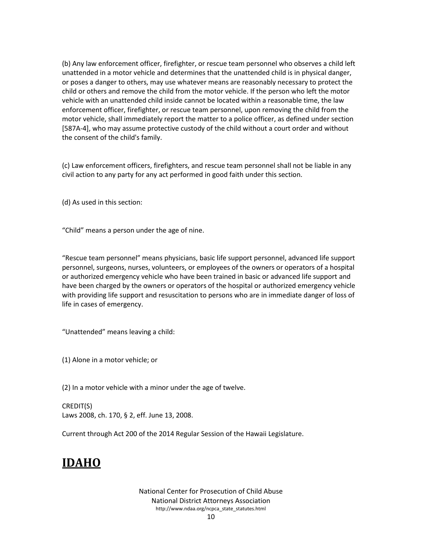(b) Any law enforcement officer, firefighter, or rescue team personnel who observes a child left unattended in a motor vehicle and determines that the unattended child is in physical danger, or poses a danger to others, may use whatever means are reasonably necessary to protect the child or others and remove the child from the motor vehicle. If the person who left the motor vehicle with an unattended child inside cannot be located within a reasonable time, the law enforcement officer, firefighter, or rescue team personnel, upon removing the child from the motor vehicle, shall immediately report the matter to a police officer, as defined under section [587A-4], who may assume protective custody of the child without a court order and without the consent of the child's family.

(c) Law enforcement officers, firefighters, and rescue team personnel shall not be liable in any civil action to any party for any act performed in good faith under this section.

(d) As used in this section:

"Child" means a person under the age of nine.

"Rescue team personnel" means physicians, basic life support personnel, advanced life support personnel, surgeons, nurses, volunteers, or employees of the owners or operators of a hospital or authorized emergency vehicle who have been trained in basic or advanced life support and have been charged by the owners or operators of the hospital or authorized emergency vehicle with providing life support and resuscitation to persons who are in immediate danger of loss of life in cases of emergency.

"Unattended" means leaving a child:

(1) Alone in a motor vehicle; or

(2) In a motor vehicle with a minor under the age of twelve.

CREDIT(S) Laws 2008, ch. 170, § 2, eff. June 13, 2008.

<span id="page-9-0"></span>Current through Act 200 of the 2014 Regular Session of the Hawaii Legislature.

## **IDAHO**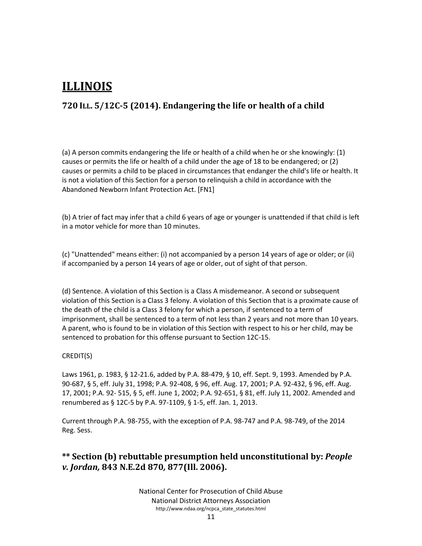## <span id="page-10-0"></span>**ILLINOIS**

#### <span id="page-10-1"></span>**720 ILL. 5/12C-5 (2014). Endangering the life or health of a child**

(a) A person commits endangering the life or health of a child when he or she knowingly: (1) causes or permits the life or health of a child under the age of 18 to be endangered; or (2) causes or permits a child to be placed in circumstances that endanger the child's life or health. It is not a violation of this Section for a person to relinquish a child in accordance with the Abandoned Newborn Infant Protection Act. [FN1]

(b) A trier of fact may infer that a child 6 years of age or younger is unattended if that child is left in a motor vehicle for more than 10 minutes.

(c) "Unattended" means either: (i) not accompanied by a person 14 years of age or older; or (ii) if accompanied by a person 14 years of age or older, out of sight of that person.

(d) Sentence. A violation of this Section is a Class A misdemeanor. A second or subsequent violation of this Section is a Class 3 felony. A violation of this Section that is a proximate cause of the death of the child is a Class 3 felony for which a person, if sentenced to a term of imprisonment, shall be sentenced to a term of not less than 2 years and not more than 10 years. A parent, who is found to be in violation of this Section with respect to his or her child, may be sentenced to probation for this offense pursuant to Section 12C-15.

#### CREDIT(S)

Laws 1961, p. 1983, § 12-21.6, added by P.A. 88-479, § 10, eff. Sept. 9, 1993. Amended by P.A. 90-687, § 5, eff. July 31, 1998; P.A. 92-408, § 96, eff. Aug. 17, 2001; P.A. 92-432, § 96, eff. Aug. 17, 2001; P.A. 92- 515, § 5, eff. June 1, 2002; P.A. 92-651, § 81, eff. July 11, 2002. Amended and renumbered as § 12C-5 by P.A. 97-1109, § 1-5, eff. Jan. 1, 2013.

Current through P.A. 98-755, with the exception of P.A. 98-747 and P.A. 98-749, of the 2014 Reg. Sess.

#### <span id="page-10-2"></span>**\*\* Section (b) rebuttable presumption held unconstitutional by:** *People v. Jordan,* **843 N.E.2d 870***,* **877(Ill. 2006).**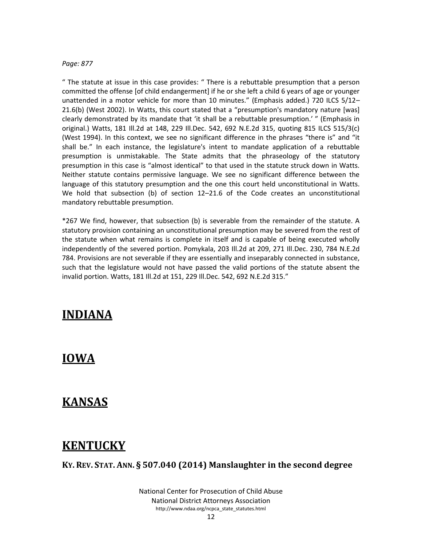#### *Page: 877*

" The statute at issue in this case provides: " There is a rebuttable presumption that a person committed the offense [of child endangerment] if he or she left a child 6 years of age or younger unattended in a motor vehicle for more than 10 minutes." (Emphasis added.) 720 ILCS 5/12– 21.6(b) (West 2002). In Watts, this court stated that a "presumption's mandatory nature [was] clearly demonstrated by its mandate that 'it shall be a rebuttable presumption.' " (Emphasis in original.) Watts, 181 Ill.2d at 148, 229 Ill.Dec. 542, 692 N.E.2d 315, quoting 815 ILCS 515/3(c) (West 1994). In this context, we see no significant difference in the phrases "there is" and "it shall be." In each instance, the legislature's intent to mandate application of a rebuttable presumption is unmistakable. The State admits that the phraseology of the statutory presumption in this case is "almost identical" to that used in the statute struck down in Watts. Neither statute contains permissive language. We see no significant difference between the language of this statutory presumption and the one this court held unconstitutional in Watts. We hold that subsection (b) of section 12–21.6 of the Code creates an unconstitutional mandatory rebuttable presumption.

\*267 We find, however, that subsection (b) is severable from the remainder of the statute. A statutory provision containing an unconstitutional presumption may be severed from the rest of the statute when what remains is complete in itself and is capable of being executed wholly independently of the severed portion. Pomykala, 203 Ill.2d at 209, 271 Ill.Dec. 230, 784 N.E.2d 784. Provisions are not severable if they are essentially and inseparably connected in substance, such that the legislature would not have passed the valid portions of the statute absent the invalid portion. Watts, 181 Ill.2d at 151, 229 Ill.Dec. 542, 692 N.E.2d 315."

#### <span id="page-11-0"></span>**INDIANA**

#### <span id="page-11-1"></span>**IOWA**

#### <span id="page-11-2"></span>**KANSAS**

#### <span id="page-11-3"></span>**KENTUCKY**

<span id="page-11-4"></span>**KY. REV. STAT. ANN. § 507.040 (2014) Manslaughter in the second degree**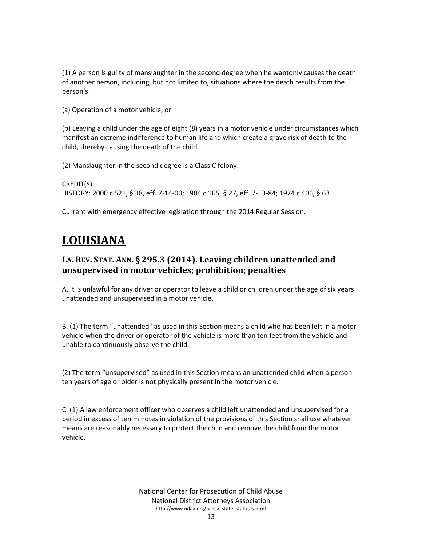(1) A person is guilty of manslaughter in the second degree when he wantonly causes the death of another person, including, but not limited to, situations where the death results from the person's:

(a) Operation of a motor vehicle; or

(b) Leaving a child under the age of eight (8) years in a motor vehicle under circumstances which manifest an extreme indifference to human life and which create a grave risk of death to the child, thereby causing the death of the child.

(2) Manslaughter in the second degree is a Class C felony.

CREDIT(S) HISTORY: [2000 c 521, § 18, eff. 7-14-00;](https://web2.westlaw.com/find/default.wl?mt=WestlawGC&db=1077005&rs=WLW14.04&docname=UUID(I590A41FB03-BD45348F03F-8FADBC7E9FA)&rp=%2ffind%2fdefault.wl&findtype=l&ordoc=11188023&tc=-1&vr=2.0&fn=_top&sv=Split&tf=-1&pbc=631D8D7D&utid=%7bAB3BE2A6-C0DE-477B-8112-82C232E8F57E%7d) 1984 c 165, § 27, eff. 7-13-84; 1974 c 406, § 63

<span id="page-12-0"></span>Current with emergency effective legislation through the 2014 Regular Session.

## **LOUISIANA**

#### <span id="page-12-1"></span>**LA. REV. STAT. ANN. § 295.3 (2014). Leaving children unattended and unsupervised in motor vehicles; prohibition; penalties**

A. It is unlawful for any driver or operator to leave a child or children under the age of six years unattended and unsupervised in a motor vehicle.

B. (1) The term "unattended" as used in this Section means a child who has been left in a motor vehicle when the driver or operator of the vehicle is more than ten feet from the vehicle and unable to continuously observe the child.

(2) The term "unsupervised" as used in this Section means an unattended child when a person ten years of age or older is not physically present in the motor vehicle.

C. (1) A law enforcement officer who observes a child left unattended and unsupervised for a period in excess of ten minutes in violation of the provisions of this Section shall use whatever means are reasonably necessary to protect the child and remove the child from the motor vehicle.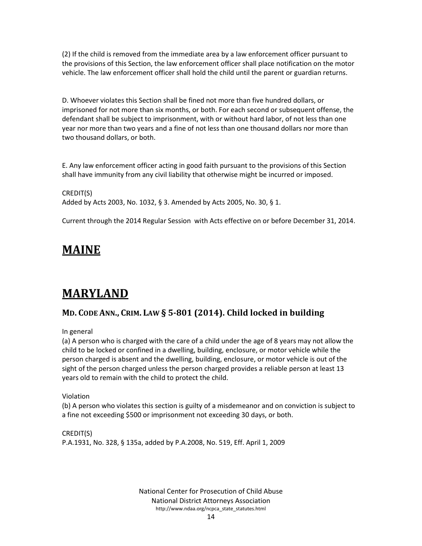(2) If the child is removed from the immediate area by a law enforcement officer pursuant to the provisions of this Section, the law enforcement officer shall place notification on the motor vehicle. The law enforcement officer shall hold the child until the parent or guardian returns.

D. Whoever violates this Section shall be fined not more than five hundred dollars, or imprisoned for not more than six months, or both. For each second or subsequent offense, the defendant shall be subject to imprisonment, with or without hard labor, of not less than one year nor more than two years and a fine of not less than one thousand dollars nor more than two thousand dollars, or both.

E. Any law enforcement officer acting in good faith pursuant to the provisions of this Section shall have immunity from any civil liability that otherwise might be incurred or imposed.

CREDIT(S) Added by Acts 2003, No. 1032, § 3. Amended by Acts 2005, No. 30, § 1.

<span id="page-13-0"></span>Current through the 2014 Regular Session with Acts effective on or before December 31, 2014.

## **MAINE**

## <span id="page-13-1"></span>**MARYLAND**

#### <span id="page-13-2"></span>**MD. CODE ANN., CRIM. LAW § 5-801 (2014). Child locked in building**

In general

(a) A person who is charged with the care of a child under the age of 8 years may not allow the child to be locked or confined in a dwelling, building, enclosure, or motor vehicle while the person charged is absent and the dwelling, building, enclosure, or motor vehicle is out of the sight of the person charged unless the person charged provides a reliable person at least 13 years old to remain with the child to protect the child.

Violation

(b) A person who violates this section is guilty of a misdemeanor and on conviction is subject to a fine not exceeding \$500 or imprisonment not exceeding 30 days, or both.

CREDIT(S)

P.A.1931, No. 328, § 135a, added by [P.A.2008, No. 519, Eff. April 1, 2009](https://web2.westlaw.com/find/default.wl?vc=0&rp=%2ffind%2fdefault.wl&ordoc=20232432&DB=1077005&DocName=UU%28I82443960ED%2D8711DD9275F%2DF4FA3C268B9%29&FindType=l&AP=&rs=WLW14.04&pbc=B34437B6&vr=2.0&utid=%7bAB3BE2A6-C0DE-477B-8112-82C232E8F57E%7d&fn=_top&mt=WestlawGC&sv=Split)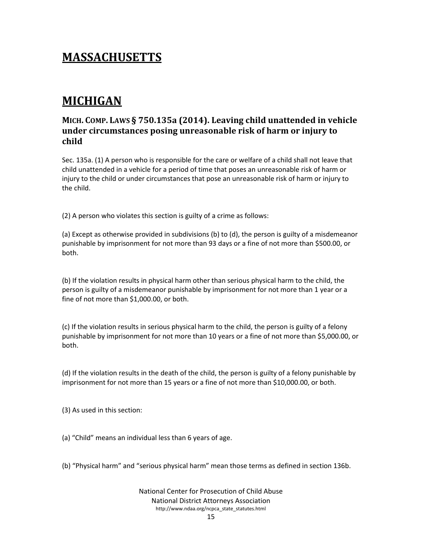## <span id="page-14-0"></span>**MASSACHUSETTS**

## <span id="page-14-1"></span>**MICHIGAN**

#### <span id="page-14-2"></span>**MICH. COMP. LAWS § 750.135a (2014). Leaving child unattended in vehicle under circumstances posing unreasonable risk of harm or injury to child**

Sec. 135a. (1) A person who is responsible for the care or welfare of a child shall not leave that child unattended in a vehicle for a period of time that poses an unreasonable risk of harm or injury to the child or under circumstances that pose an unreasonable risk of harm or injury to the child.

(2) A person who violates this section is guilty of a crime as follows:

(a) Except as otherwise provided in subdivisions (b) to (d), the person is guilty of a misdemeanor punishable by imprisonment for not more than 93 days or a fine of not more than \$500.00, or both.

(b) If the violation results in physical harm other than serious physical harm to the child, the person is guilty of a misdemeanor punishable by imprisonment for not more than 1 year or a fine of not more than \$1,000.00, or both.

(c) If the violation results in serious physical harm to the child, the person is guilty of a felony punishable by imprisonment for not more than 10 years or a fine of not more than \$5,000.00, or both.

(d) If the violation results in the death of the child, the person is guilty of a felony punishable by imprisonment for not more than 15 years or a fine of not more than \$10,000.00, or both.

(3) As used in this section:

(a) "Child" means an individual less than 6 years of age.

(b) "Physical harm" and "serious physical harm" mean those terms as defined in section 136b.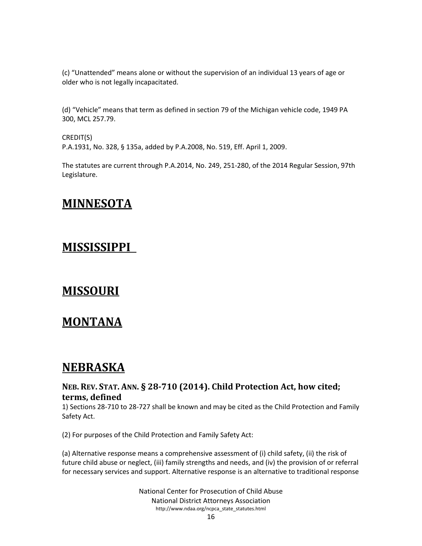(c) "Unattended" means alone or without the supervision of an individual 13 years of age or older who is not legally incapacitated.

(d) "Vehicle" means that term as defined in section 79 of the Michigan vehicle code, 1949 PA 300, MCL 257.79.

CREDIT(S) P.A.1931, No. 328, § 135a, added by [P.A.2008, No. 519, Eff. April 1, 2009.](https://web2.westlaw.com/find/default.wl?vc=0&rp=%2ffind%2fdefault.wl&ordoc=20232432&DB=1077005&DocName=UU%28I82443960ED%2D8711DD9275F%2DF4FA3C268B9%29&FindType=l&AP=&rs=WLW14.04&pbc=638F786E&vr=2.0&utid=%7bAB3BE2A6-C0DE-477B-8112-82C232E8F57E%7d&fn=_top&mt=WestlawGC&sv=Split)

<span id="page-15-0"></span>The statutes are current through P.A.2014, No. 249, 251-280, of the 2014 Regular Session, 97th Legislature.

### **MINNESOTA**

### <span id="page-15-1"></span>**MISSISSIPPI**

### <span id="page-15-3"></span><span id="page-15-2"></span>**MISSOURI**

### **MONTANA**

### <span id="page-15-4"></span>**NEBRASKA**

#### <span id="page-15-5"></span>**NEB. REV. STAT. ANN. § 28-710 (2014). Child Protection Act, how cited; terms, defined**

1) Sections 28-710 to 28-727 shall be known and may be cited as the Child Protection and Family Safety Act.

(2) For purposes of the Child Protection and Family Safety Act:

(a) Alternative response means a comprehensive assessment of (i) child safety, (ii) the risk of future child abuse or neglect, (iii) family strengths and needs, and (iv) the provision of or referral for necessary services and support. Alternative response is an alternative to traditional response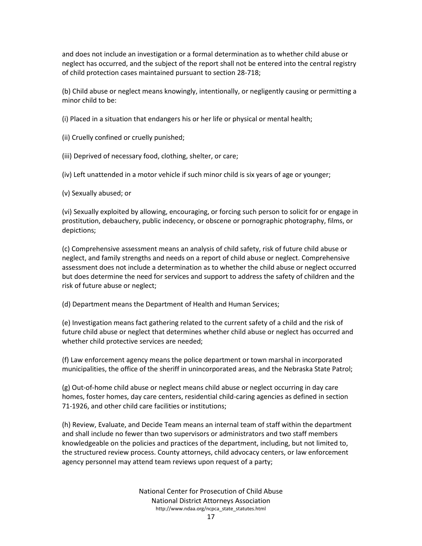and does not include an investigation or a formal determination as to whether child abuse or neglect has occurred, and the subject of the report shall not be entered into the central registry of child protection cases maintained pursuant to section 28-718;

(b) Child abuse or neglect means knowingly, intentionally, or negligently causing or permitting a minor child to be:

(i) Placed in a situation that endangers his or her life or physical or mental health;

(ii) Cruelly confined or cruelly punished;

(iii) Deprived of necessary food, clothing, shelter, or care;

(iv) Left unattended in a motor vehicle if such minor child is six years of age or younger;

(v) Sexually abused; or

(vi) Sexually exploited by allowing, encouraging, or forcing such person to solicit for or engage in prostitution, debauchery, public indecency, or obscene or pornographic photography, films, or depictions;

(c) Comprehensive assessment means an analysis of child safety, risk of future child abuse or neglect, and family strengths and needs on a report of child abuse or neglect. Comprehensive assessment does not include a determination as to whether the child abuse or neglect occurred but does determine the need for services and support to address the safety of children and the risk of future abuse or neglect;

(d) Department means the Department of Health and Human Services;

(e) Investigation means fact gathering related to the current safety of a child and the risk of future child abuse or neglect that determines whether child abuse or neglect has occurred and whether child protective services are needed;

(f) Law enforcement agency means the police department or town marshal in incorporated municipalities, the office of the sheriff in unincorporated areas, and the Nebraska State Patrol;

(g) Out-of-home child abuse or neglect means child abuse or neglect occurring in day care homes, foster homes, day care centers, residential child-caring agencies as defined in section 71-1926, and other child care facilities or institutions;

(h) Review, Evaluate, and Decide Team means an internal team of staff within the department and shall include no fewer than two supervisors or administrators and two staff members knowledgeable on the policies and practices of the department, including, but not limited to, the structured review process. County attorneys, child advocacy centers, or law enforcement agency personnel may attend team reviews upon request of a party;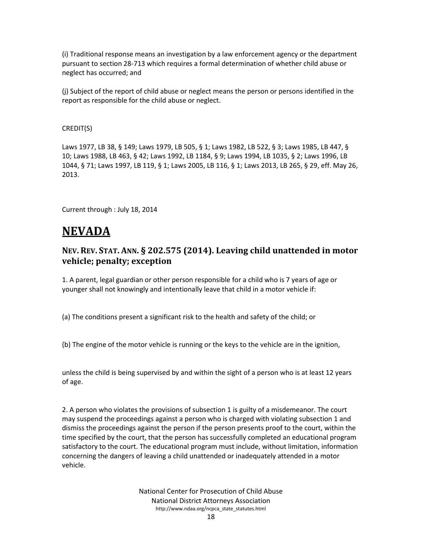(i) Traditional response means an investigation by a law enforcement agency or the department pursuant to section 28-713 which requires a formal determination of whether child abuse or neglect has occurred; and

(j) Subject of the report of child abuse or neglect means the person or persons identified in the report as responsible for the child abuse or neglect.

#### CREDIT(S)

Laws 1977, LB 38, § 149; Laws 1979, LB 505, § 1; Laws 1982, LB 522, § 3; Laws 1985, LB 447, § 10; Laws 1988, LB 463, § 42; [Laws 1992, LB 1184, § 9;](https://web2.westlaw.com/find/default.wl?vc=0&rp=%2ffind%2fdefault.wl&ordoc=19411254&DB=1077005&DocName=UU%28ID889FC4C19%2DD442F1BE3D8%2DADD6668A2FE%29&FindType=l&AP=&rs=WLW14.04&pbc=1466D5CE&vr=2.0&utid=%7bAB3BE2A6-C0DE-477B-8112-82C232E8F57E%7d&fn=_top&mt=WestlawGC&sv=Split) [Laws 1994, LB 1035, § 2;](https://web2.westlaw.com/find/default.wl?vc=0&rp=%2ffind%2fdefault.wl&ordoc=19411254&DB=1077005&DocName=UU%28IBFBE4BE46E%2DE449F7BAAB6%2DF42704A0F79%29&FindType=l&AP=&rs=WLW14.04&pbc=1466D5CE&vr=2.0&utid=%7bAB3BE2A6-C0DE-477B-8112-82C232E8F57E%7d&fn=_top&mt=WestlawGC&sv=Split) [Laws 1996, LB](https://web2.westlaw.com/find/default.wl?vc=0&rp=%2ffind%2fdefault.wl&ordoc=19411254&DB=1077005&DocName=UU%28I2630E86E39%2D2844FE944D4%2DD2B81C006D1%29&FindType=l&AP=&rs=WLW14.04&pbc=1466D5CE&vr=2.0&utid=%7bAB3BE2A6-C0DE-477B-8112-82C232E8F57E%7d&fn=_top&mt=WestlawGC&sv=Split)  [1044, § 71;](https://web2.westlaw.com/find/default.wl?vc=0&rp=%2ffind%2fdefault.wl&ordoc=19411254&DB=1077005&DocName=UU%28I2630E86E39%2D2844FE944D4%2DD2B81C006D1%29&FindType=l&AP=&rs=WLW14.04&pbc=1466D5CE&vr=2.0&utid=%7bAB3BE2A6-C0DE-477B-8112-82C232E8F57E%7d&fn=_top&mt=WestlawGC&sv=Split) [Laws 1997, LB 119, § 1;](https://web2.westlaw.com/find/default.wl?vc=0&rp=%2ffind%2fdefault.wl&ordoc=19411254&DB=1077005&DocName=UU%28I697DD97D8D%2D48487E8E369%2D382D1F5A18B%29&FindType=l&AP=&rs=WLW14.04&pbc=1466D5CE&vr=2.0&utid=%7bAB3BE2A6-C0DE-477B-8112-82C232E8F57E%7d&fn=_top&mt=WestlawGC&sv=Split) [Laws 2005, LB 116, § 1;](https://web2.westlaw.com/find/default.wl?vc=0&rp=%2ffind%2fdefault.wl&ordoc=19411254&DB=1077005&DocName=UU%28I9B212CF0D4%2D5D11D99141F%2D7B46458522B%29&FindType=l&AP=&rs=WLW14.04&pbc=1466D5CE&vr=2.0&utid=%7bAB3BE2A6-C0DE-477B-8112-82C232E8F57E%7d&fn=_top&mt=WestlawGC&sv=Split) [Laws 2013, LB 265, § 29,](https://web2.westlaw.com/find/default.wl?vc=0&rp=%2ffind%2fdefault.wl&ordoc=19411254&DB=1077005&DocName=UU%28IE6905980CD%2D2511E2BCD6B%2DD474B7DC749%29&FindType=l&AP=&rs=WLW14.04&pbc=1466D5CE&vr=2.0&utid=%7bAB3BE2A6-C0DE-477B-8112-82C232E8F57E%7d&fn=_top&mt=WestlawGC&sv=Split) eff. May 26, 2013.

<span id="page-17-0"></span>Current through : July 18, 2014

### <span id="page-17-1"></span>**NEVADA**

#### <span id="page-17-2"></span>**NEV. REV. STAT. ANN. § 202.575 (2014). Leaving child unattended in motor vehicle; penalty; exception**

1. A parent, legal guardian or other person responsible for a child who is 7 years of age or younger shall not knowingly and intentionally leave that child in a motor vehicle if:

(a) The conditions present a significant risk to the health and safety of the child; or

(b) The engine of the motor vehicle is running or the keys to the vehicle are in the ignition,

unless the child is being supervised by and within the sight of a person who is at least 12 years of age.

2. A person who violates the provisions of subsection 1 is guilty of a misdemeanor. The court may suspend the proceedings against a person who is charged with violating subsection 1 and dismiss the proceedings against the person if the person presents proof to the court, within the time specified by the court, that the person has successfully completed an educational program satisfactory to the court. The educational program must include, without limitation, information concerning the dangers of leaving a child unattended or inadequately attended in a motor vehicle.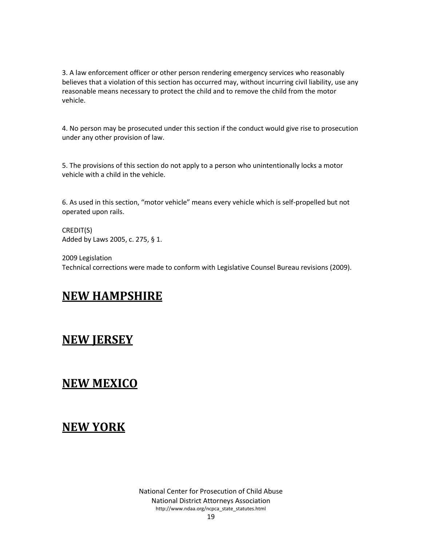3. A law enforcement officer or other person rendering emergency services who reasonably believes that a violation of this section has occurred may, without incurring civil liability, use any reasonable means necessary to protect the child and to remove the child from the motor vehicle.

4. No person may be prosecuted under this section if the conduct would give rise to prosecution under any other provision of law.

5. The provisions of this section do not apply to a person who unintentionally locks a motor vehicle with a child in the vehicle.

6. As used in this section, "motor vehicle" means every vehicle which is self-propelled but not operated upon rails.

CREDIT(S) Added by Laws 2005, c. 275, § 1.

2009 Legislation Technical corrections were made to conform with Legislative Counsel Bureau revisions (2009).

## <span id="page-18-0"></span>**NEW HAMPSHIRE**

### <span id="page-18-1"></span>**NEW JERSEY**

### <span id="page-18-2"></span>**NEW MEXICO**

### <span id="page-18-3"></span>**NEW YORK**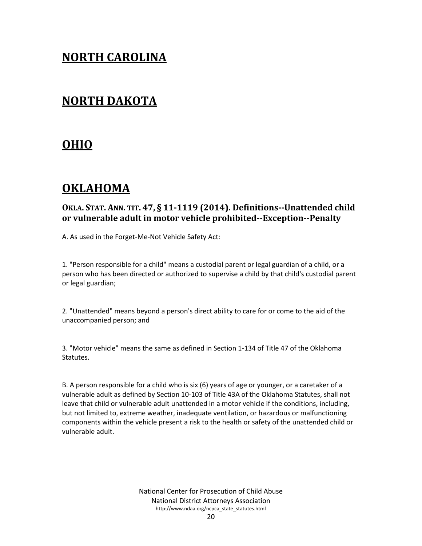### <span id="page-19-0"></span>**NORTH CAROLINA**

### <span id="page-19-1"></span>**NORTH DAKOTA**

### <span id="page-19-2"></span>**OHIO**

## <span id="page-19-3"></span>**OKLAHOMA**

#### <span id="page-19-4"></span>**OKLA. STAT. ANN. TIT. 47, § 11-1119 (2014). Definitions--Unattended child or vulnerable adult in motor vehicle prohibited--Exception--Penalty**

A. As used in the Forget-Me-Not Vehicle Safety Act:

1. "Person responsible for a child" means a custodial parent or legal guardian of a child, or a person who has been directed or authorized to supervise a child by that child's custodial parent or legal guardian;

2. "Unattended" means beyond a person's direct ability to care for or come to the aid of the unaccompanied person; and

3. "Motor vehicle" means the same as defined in Section 1-134 of Title 47 of the Oklahoma Statutes.

B. A person responsible for a child who is six (6) years of age or younger, or a caretaker of a vulnerable adult as defined by Section 10-103 of Title 43A of the Oklahoma Statutes, shall not leave that child or vulnerable adult unattended in a motor vehicle if the conditions, including, but not limited to, extreme weather, inadequate ventilation, or hazardous or malfunctioning components within the vehicle present a risk to the health or safety of the unattended child or vulnerable adult.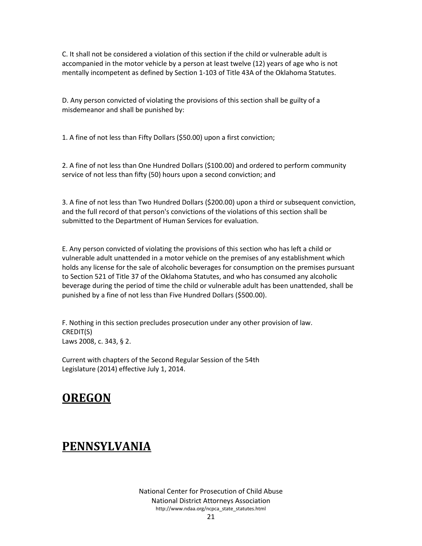C. It shall not be considered a violation of this section if the child or vulnerable adult is accompanied in the motor vehicle by a person at least twelve (12) years of age who is not mentally incompetent as defined by Section 1-103 of Title 43A of the Oklahoma Statutes.

D. Any person convicted of violating the provisions of this section shall be guilty of a misdemeanor and shall be punished by:

1. A fine of not less than Fifty Dollars (\$50.00) upon a first conviction;

2. A fine of not less than One Hundred Dollars (\$100.00) and ordered to perform community service of not less than fifty (50) hours upon a second conviction; and

3. A fine of not less than Two Hundred Dollars (\$200.00) upon a third or subsequent conviction, and the full record of that person's convictions of the violations of this section shall be submitted to the Department of Human Services for evaluation.

E. Any person convicted of violating the provisions of this section who has left a child or vulnerable adult unattended in a motor vehicle on the premises of any establishment which holds any license for the sale of alcoholic beverages for consumption on the premises pursuant to Section 521 of Title 37 of the Oklahoma Statutes, and who has consumed any alcoholic beverage during the period of time the child or vulnerable adult has been unattended, shall be punished by a fine of not less than Five Hundred Dollars (\$500.00).

F. Nothing in this section precludes prosecution under any other provision of law. CREDIT(S) Laws 2008, c. 343, § 2.

Current with chapters of the Second Regular Session of the 54th Legislature (2014) effective July 1, 2014.

## <span id="page-20-0"></span>**OREGON**

## <span id="page-20-1"></span>**PENNSYLVANIA**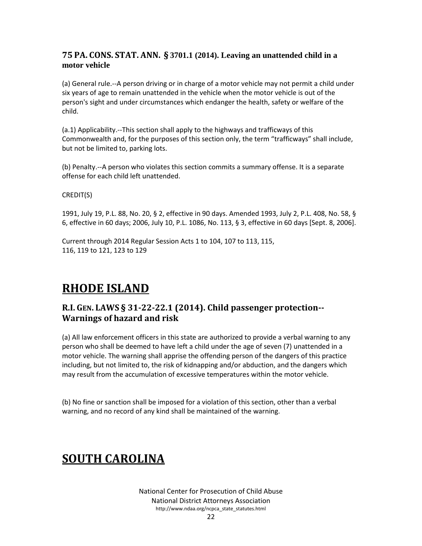#### <span id="page-21-0"></span>**75 PA. CONS. STAT. ANN. § 3701.1 (2014). Leaving an unattended child in a motor vehicle**

(a) General rule.--A person driving or in charge of a motor vehicle may not permit a child under six years of age to remain unattended in the vehicle when the motor vehicle is out of the person's sight and under circumstances which endanger the health, safety or welfare of the child.

(a.1) Applicability.--This section shall apply to the highways and trafficways of this Commonwealth and, for the purposes of this section only, the term "trafficways" shall include, but not be limited to, parking lots.

(b) Penalty.--A person who violates this section commits a summary offense. It is a separate offense for each child left unattended.

#### CREDIT(S)

1991, July 19, P.L. 88, No. 20, § 2, effective in 90 days. Amended 1993, July 2, P.L. 408, No. 58, § 6, effective in 60 days; 2006, July 10, P.L. 1086, No. 113, § 3, effective in 60 days [Sept. 8, 2006].

Current through 2014 Regular Session Acts 1 to 104, 107 to 113, 115, 116, 119 to 121, 123 to 129

### <span id="page-21-1"></span>**RHODE ISLAND**

#### <span id="page-21-2"></span>**R.I. GEN. LAWS § 31-22-22.1 (2014). Child passenger protection-- Warnings of hazard and risk**

(a) All law enforcement officers in this state are authorized to provide a verbal warning to any person who shall be deemed to have left a child under the age of seven (7) unattended in a motor vehicle. The warning shall apprise the offending person of the dangers of this practice including, but not limited to, the risk of kidnapping and/or abduction, and the dangers which may result from the accumulation of excessive temperatures within the motor vehicle.

(b) No fine or sanction shall be imposed for a violation of this section, other than a verbal warning, and no record of any kind shall be maintained of the warning.

## <span id="page-21-3"></span>**SOUTH CAROLINA**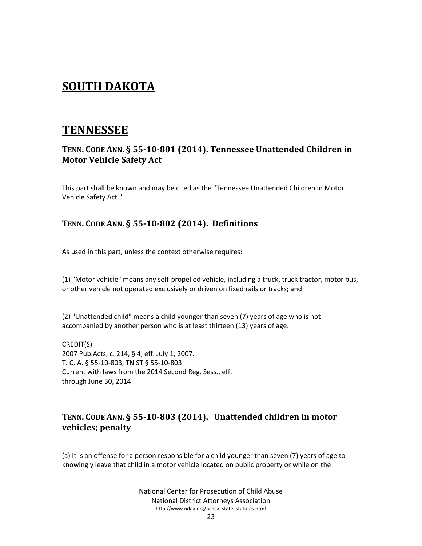### <span id="page-22-0"></span>**SOUTH DAKOTA**

### <span id="page-22-1"></span>**TENNESSEE**

#### <span id="page-22-2"></span>**TENN. CODE ANN. § 55-10-801 (2014). Tennessee Unattended Children in Motor Vehicle Safety Act**

This part shall be known and may be cited as the "Tennessee Unattended Children in Motor Vehicle Safety Act."

#### <span id="page-22-3"></span>**TENN. CODE ANN. § 55-10-802 (2014). Definitions**

As used in this part, unless the context otherwise requires:

(1) "Motor vehicle" means any self-propelled vehicle, including a truck, truck tractor, motor bus, or other vehicle not operated exclusively or driven on fixed rails or tracks; and

(2) "Unattended child" means a child younger than seven (7) years of age who is not accompanied by another person who is at least thirteen (13) years of age.

CREDIT(S) 2007 Pub.Acts, c. 214, § 4, eff. July 1, 2007. T. C. A. § 55-10-803, TN ST § 55-10-803 Current with laws from the 2014 Second Reg. Sess., eff. through June 30, 2014

#### <span id="page-22-4"></span>**TENN. CODE ANN. § 55-10-803 (2014). Unattended children in motor vehicles; penalty**

(a) It is an offense for a person responsible for a child younger than seven (7) years of age to knowingly leave that child in a motor vehicle located on public property or while on the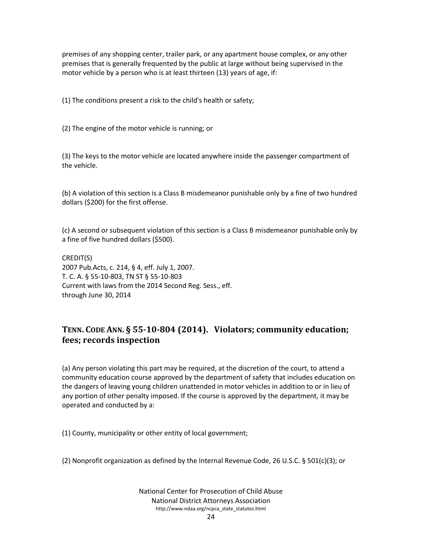premises of any shopping center, trailer park, or any apartment house complex, or any other premises that is generally frequented by the public at large without being supervised in the motor vehicle by a person who is at least thirteen (13) years of age, if:

(1) The conditions present a risk to the child's health or safety;

(2) The engine of the motor vehicle is running; or

(3) The keys to the motor vehicle are located anywhere inside the passenger compartment of the vehicle.

(b) A violation of this section is a Class B misdemeanor punishable only by a fine of two hundred dollars (\$200) for the first offense.

(c) A second or subsequent violation of this section is a Class B misdemeanor punishable only by a fine of five hundred dollars (\$500).

CREDIT(S) 2007 Pub.Acts, c. 214, § 4, eff. July 1, 2007. T. C. A. § 55-10-803, TN ST § 55-10-803 Current with laws from the 2014 Second Reg. Sess., eff. through June 30, 2014

#### <span id="page-23-0"></span>**TENN. CODE ANN. § 55-10-804 (2014). Violators; community education; fees; records inspection**

(a) Any person violating this part may be required, at the discretion of the court, to attend a community education course approved by the department of safety that includes education on the dangers of leaving young children unattended in motor vehicles in addition to or in lieu of any portion of other penalty imposed. If the course is approved by the department, it may be operated and conducted by a:

(1) County, municipality or other entity of local government;

(2) Nonprofit organization as defined by the Internal Revenue Code, 26 U.S.C. § 501(c)(3); or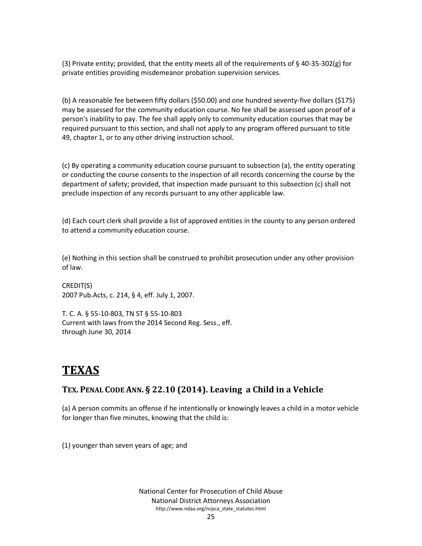(3) Private entity; provided, that the entity meets all of the requirements of § 40-35-302(g) for private entities providing misdemeanor probation supervision services.

(b) A reasonable fee between fifty dollars (\$50.00) and one hundred seventy-five dollars (\$175) may be assessed for the community education course. No fee shall be assessed upon proof of a person's inability to pay. The fee shall apply only to community education courses that may be required pursuant to this section, and shall not apply to any program offered pursuant to title 49, chapter 1, or to any other driving instruction school.

(c) By operating a community education course pursuant to subsection (a), the entity operating or conducting the course consents to the inspection of all records concerning the course by the department of safety; provided, that inspection made pursuant to this subsection (c) shall not preclude inspection of any records pursuant to any other applicable law.

(d) Each court clerk shall provide a list of approved entities in the county to any person ordered to attend a community education course.

(e) Nothing in this section shall be construed to prohibit prosecution under any other provision of law.

CREDIT(S) 2007 Pub.Acts, c. 214, § 4, eff. July 1, 2007.

T. C. A. § 55-10-803, TN ST § 55-10-803 Current with laws from the 2014 Second Reg. Sess., eff. through June 30, 2014

## <span id="page-24-0"></span>**TEXAS**

#### <span id="page-24-1"></span>**TEX. PENAL CODE ANN. § 22.10 (2014). Leaving a Child in a Vehicle**

(a) A person commits an offense if he intentionally or knowingly leaves a child in a motor vehicle for longer than five minutes, knowing that the child is:

(1) younger than seven years of age; and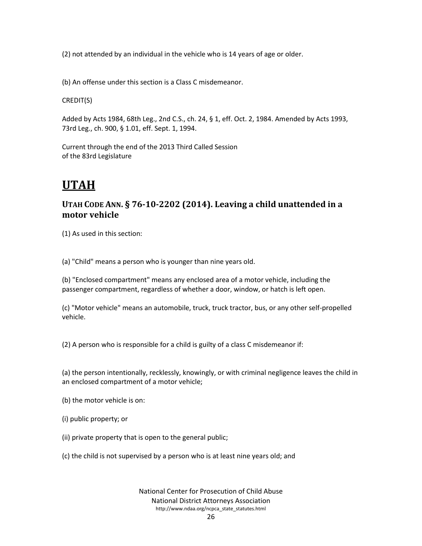(2) not attended by an individual in the vehicle who is 14 years of age or older.

(b) An offense under this section is a Class C misdemeanor.

CREDIT(S)

Added by Acts 1984, 68th Leg., 2nd C.S., ch. 24, § 1, eff. Oct. 2, 1984. Amended by Acts 1993, 73rd Leg., ch. 900, § 1.01, eff. Sept. 1, 1994.

Current through the end of the 2013 Third Called Session of the 83rd Legislature

## <span id="page-25-0"></span>**UTAH**

#### <span id="page-25-1"></span>**UTAH CODE ANN. § 76-10-2202 (2014). Leaving a child unattended in a motor vehicle**

(1) As used in this section:

(a) "Child" means a person who is younger than nine years old.

(b) "Enclosed compartment" means any enclosed area of a motor vehicle, including the passenger compartment, regardless of whether a door, window, or hatch is left open.

(c) "Motor vehicle" means an automobile, truck, truck tractor, bus, or any other self-propelled vehicle.

(2) A person who is responsible for a child is guilty of a class C misdemeanor if:

(a) the person intentionally, recklessly, knowingly, or with criminal negligence leaves the child in an enclosed compartment of a motor vehicle;

- (b) the motor vehicle is on:
- (i) public property; or
- (ii) private property that is open to the general public;
- (c) the child is not supervised by a person who is at least nine years old; and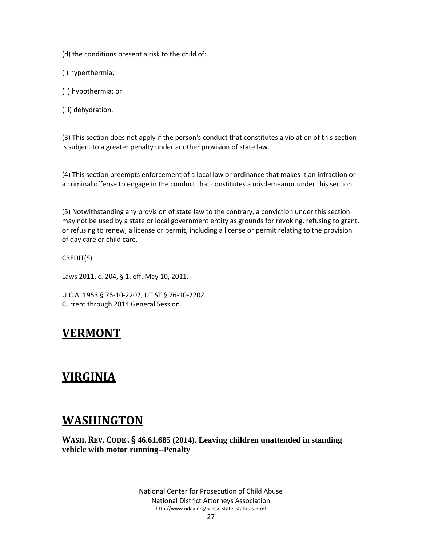(d) the conditions present a risk to the child of:

(i) hyperthermia;

- (ii) hypothermia; or
- (iii) dehydration.

(3) This section does not apply if the person's conduct that constitutes a violation of this section is subject to a greater penalty under another provision of state law.

(4) This section preempts enforcement of a local law or ordinance that makes it an infraction or a criminal offense to engage in the conduct that constitutes a misdemeanor under this section.

(5) Notwithstanding any provision of state law to the contrary, a conviction under this section may not be used by a state or local government entity as grounds for revoking, refusing to grant, or refusing to renew, a license or permit, including a license or permit relating to the provision of day care or child care.

CREDIT(S)

Laws 2011, c. 204, § 1, eff. May 10, 2011.

<span id="page-26-0"></span>U.C.A. 1953 § 76-10-2202, UT ST § 76-10-2202 Current through 2014 General Session.

### **VERMONT**

### <span id="page-26-1"></span>**VIRGINIA**

### <span id="page-26-2"></span>**WASHINGTON**

<span id="page-26-3"></span>**WASH. REV. CODE . § 46.61.685 (2014). Leaving children unattended in standing vehicle with motor running--Penalty**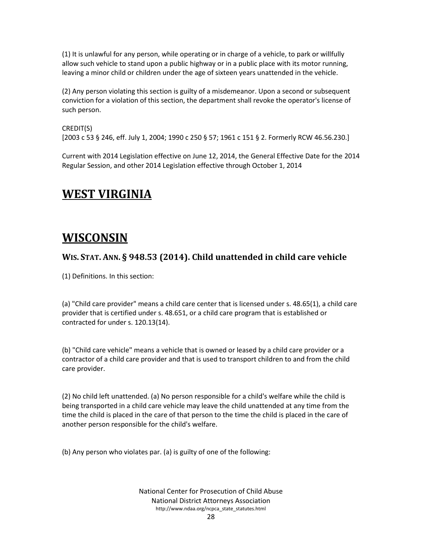(1) It is unlawful for any person, while operating or in charge of a vehicle, to park or willfully allow such vehicle to stand upon a public highway or in a public place with its motor running, leaving a minor child or children under the age of sixteen years unattended in the vehicle.

(2) Any person violating this section is guilty of a misdemeanor. Upon a second or subsequent conviction for a violation of this section, the department shall revoke the operator's license of such person.

#### CREDIT(S)

[2003 c 53 § 246, eff. July 1, 2004; 1990 c 250 § 57; 1961 c 151 § 2. Formerly RCW 46.56.230.]

<span id="page-27-0"></span>Current with 2014 Legislation effective on June 12, 2014, the General Effective Date for the 2014 Regular Session, and other 2014 Legislation effective through October 1, 2014

### **WEST VIRGINIA**

### <span id="page-27-1"></span>**WISCONSIN**

#### <span id="page-27-2"></span>**WIS. STAT. ANN. § 948.53 (2014). Child unattended in child care vehicle**

(1) Definitions. In this section:

(a) "Child care provider" means a child care center that is licensed under s. 48.65(1), a child care provider that is certified under s. 48.651, or a child care program that is established or contracted for under s. 120.13(14).

(b) "Child care vehicle" means a vehicle that is owned or leased by a child care provider or a contractor of a child care provider and that is used to transport children to and from the child care provider.

(2) No child left unattended. (a) No person responsible for a child's welfare while the child is being transported in a child care vehicle may leave the child unattended at any time from the time the child is placed in the care of that person to the time the child is placed in the care of another person responsible for the child's welfare.

(b) Any person who violates par. (a) is guilty of one of the following: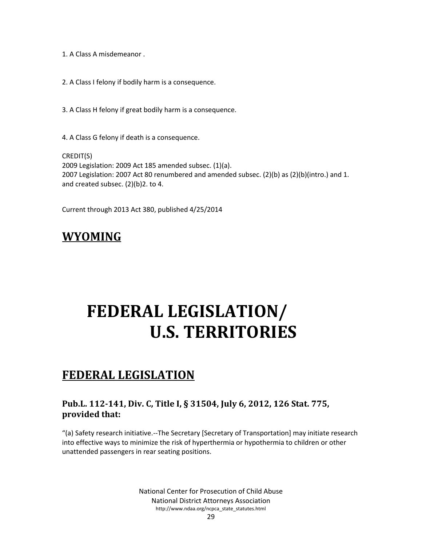- 1. A Class A misdemeanor .
- 2. A Class I felony if bodily harm is a consequence.
- 3. A Class H felony if great bodily harm is a consequence.
- 4. A Class G felony if death is a consequence.

CREDIT(S) 2009 Legislation: 2009 Act 185 amended subsec. (1)(a). 2007 Legislation: 2007 Act 80 renumbered and amended subsec. (2)(b) as (2)(b)(intro.) and 1. and created subsec. (2)(b)2. to 4.

<span id="page-28-0"></span>Current through 2013 Act 380, published 4/25/2014

## <span id="page-28-1"></span>**WYOMING**

# **FEDERAL LEGISLATION/ U.S. TERRITORIES**

### <span id="page-28-2"></span>**FEDERAL LEGISLATION**

#### <span id="page-28-3"></span>**Pub.L. 112-141, Div. C, Title I, § 31504, July 6, 2012, 126 Stat. 775, provided that:**

"(a) Safety research initiative.--The Secretary [Secretary of Transportation] may initiate research into effective ways to minimize the risk of hyperthermia or hypothermia to children or other unattended passengers in rear seating positions.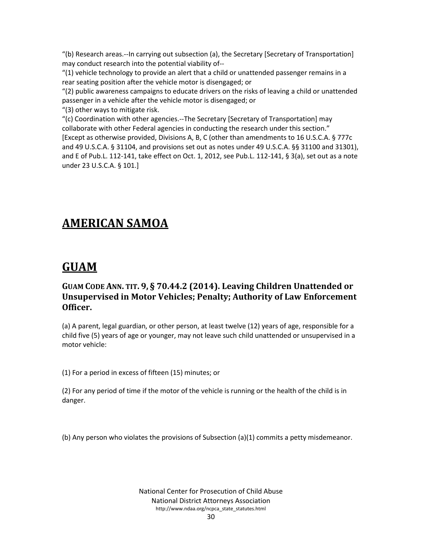"(b) Research areas.--In carrying out subsection (a), the Secretary [Secretary of Transportation] may conduct research into the potential viability of--

 $''(1)$  vehicle technology to provide an alert that a child or unattended passenger remains in a rear seating position after the vehicle motor is disengaged; or

"(2) public awareness campaigns to educate drivers on the risks of leaving a child or unattended passenger in a vehicle after the vehicle motor is disengaged; or

"(3) other ways to mitigate risk.

"(c) Coordination with other agencies.--The Secretary [Secretary of Transportation] may collaborate with other Federal agencies in conducting the research under this section." [Except as otherwise provided, Divisions A, B, C (other than amendments to 16 U.S.C.A. § 777c and 49 U.S.C.A. § 31104, and provisions set out as notes under 49 U.S.C.A. §§ 31100 and 31301), and E of Pub.L. 112-141, take effect on Oct. 1, 2012, see Pub.L. 112-141, § 3(a), set out as a note under 23 U.S.C.A. § 101.]

## <span id="page-29-0"></span>**AMERICAN SAMOA**

#### <span id="page-29-1"></span>**GUAM**

#### <span id="page-29-2"></span>**GUAM CODE ANN. TIT. 9, § 70.44.2 (2014). Leaving Children Unattended or Unsupervised in Motor Vehicles; Penalty; Authority of Law Enforcement Officer.**

(a) A parent, legal guardian, or other person, at least twelve (12) years of age, responsible for a child five (5) years of age or younger, may not leave such child unattended or unsupervised in a motor vehicle:

(1) For a period in excess of fifteen (15) minutes; or

(2) For any period of time if the motor of the vehicle is running or the health of the child is in danger.

(b) Any person who violates the provisions of Subsection (a)(1) commits a petty misdemeanor.